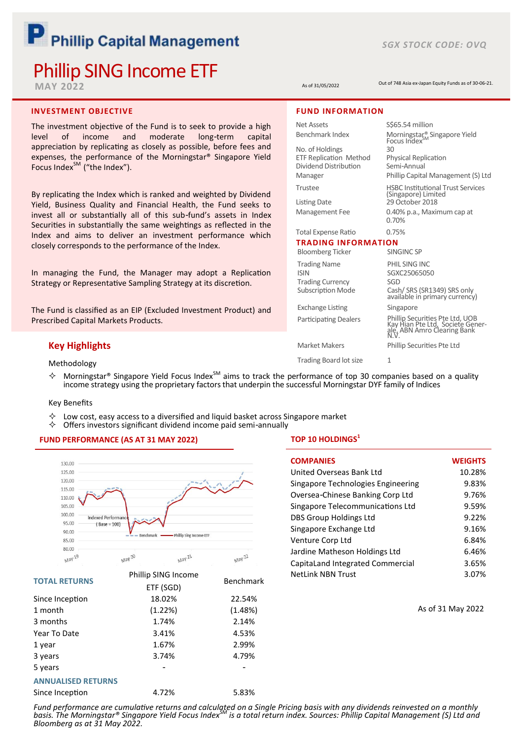# P Phillip Capital Management

# Phillip SING Income ETF

**MAY 2022**

#### **INVESTMENT OBJECTIVE**

The investment objective of the Fund is to seek to provide a high level of income and moderate long-term capital appreciation by replicating as closely as possible, before fees and expenses, the performance of the Morningstar® Singapore Yield Focus Index<sup>SM</sup> ("the Index").

By replicating the Index which is ranked and weighted by Dividend Yield, Business Quality and Financial Health, the Fund seeks to invest all or substantially all of this sub-fund's assets in Index Securities in substantially the same weightings as reflected in the Index and aims to deliver an investment performance which closely corresponds to the performance of the Index.

In managing the Fund, the Manager may adopt a Replication Strategy or Representative Sampling Strategy at its discretion.

The Fund is classified as an EIP (Excluded Investment Product) and Prescribed Capital Markets Products.

# **Key Highlights**

Methodology

 $\Diamond$  Morningstar® Singapore Yield Focus Index<sup>SM</sup> aims to track the performance of top 30 companies based on a quality income strategy using the proprietary factors that underpin the successful Morningstar DYF family of Indices

#### Key Benefits

- $\Diamond$  Low cost, easy access to a diversified and liquid basket across Singapore market  $\Diamond$  Offers investors significant dividend income naid semi-annually
- Offers investors significant dividend income paid semi-annually

#### **FUND PERFORMANCE (AS AT 31 MAY 2022)**



| <b>TOTAL RETURNS</b>      | <b>Prillip Sing Income</b> | <b>Benchmark</b> |
|---------------------------|----------------------------|------------------|
|                           | ETF (SGD)                  |                  |
| Since Inception           | 18.02%                     | 22.54%           |
| 1 month                   | (1.22%)                    | (1.48%)          |
| 3 months                  | 1.74%                      | 2.14%            |
| Year To Date              | 3.41%                      | 4.53%            |
| 1 year                    | 1.67%                      | 2.99%            |
| 3 years                   | 3.74%                      | 4.79%            |
| 5 years                   |                            |                  |
| <b>ANNUALISED RETURNS</b> |                            |                  |

Since Inception  $4.72\%$  5.83%

#### **TOP 10 HOLDINGS<sup>1</sup>**

| <b>COMPANIES</b>                   | <b>WEIGHTS</b> |
|------------------------------------|----------------|
| United Overseas Bank Ltd           | 10.28%         |
| Singapore Technologies Engineering | 9.83%          |
| Oversea-Chinese Banking Corp Ltd   | 9.76%          |
| Singapore Telecommunications Ltd   | 9.59%          |
| DBS Group Holdings Ltd             | 9.22%          |
| Singapore Exchange Ltd             | 9.16%          |
| Venture Corp Ltd                   | 6.84%          |
| Jardine Matheson Holdings Ltd      | 6.46%          |
| CapitaLand Integrated Commercial   | 3.65%          |
| <b>NetLink NBN Trust</b>           | 3.07%          |

As of 31 May 2022

Net Assets SA million Benchmark Index Morningstar<sup>®</sup> Singapore Yield Focus Index<br>30 No. of Holdings 30<br>
ETF Replication Method Physical Replication ETF Replication Method Physical Repl<br>Dividend Distribution Semi-Annual Dividend Distribution Manager Phillip Capital Management (S) Ltd Trustee HSBC Institutional Trust Services (Singapore) Limited **FUND INFORMATION** Out of 748 Asia ex-Japan Equity Funds as of 30-06-21. As of 31/05/2022

Listing Date 29 October 2018 Management Fee 0.40% p.a., Maximum cap at

#### Total Expense Ratio 0.75% **TRADING INFORMATION**

0.70%

Bloomberg Ticker SINGINC SP Trading Name PHIL SING INC ISIN SGXC25065050<br>Trading Currency SGD Trading Currency<br>Subscription Mode

Exchange Listing Singapore

Cash/ SRS (SR1349) SRS only available in primary currency) Participating Dealers<br>
Kay Hian Pte Ltd, Societe Gener-<br>
ale, ABN Amro Clearing Bank<br>
N.V.

Market Makers Phillip Securities Pte Ltd

Trading Board lot size 1

Fund performance are cumulative returns and calculated on a Single Pricing basis with any dividends reinvested on a monthly<br>basis. The Morningstar® Singapore Yield Focus Index™ is a total return index. Sources: Phillip Cap *Bloomberg as at 31 May 2022.*